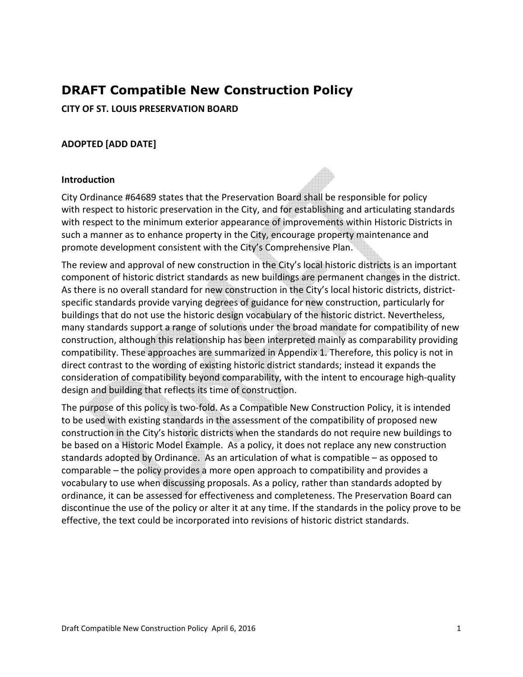# **DRAFT Compatible New Construction Policy**

**CITY OF ST. LOUIS PRESERVATION BOARD** 

# **ADOPTED [ADD DATE]**

#### **Introduction**

City Ordinance #64689 states that the Preservation Board shall be responsible for policy with respect to historic preservation in the City, and for establishing and articulating standards with respect to the minimum exterior appearance of improvements within Historic Districts in such a manner as to enhance property in the City, encourage property maintenance and promote development consistent with the City's Comprehensive Plan.

The review and approval of new construction in the City's local historic districts is an important component of historic district standards as new buildings are permanent changes in the district. As there is no overall standard for new construction in the City's local historic districts, districtspecific standards provide varying degrees of guidance for new construction, particularly for buildings that do not use the historic design vocabulary of the historic district. Nevertheless, many standards support a range of solutions under the broad mandate for compatibility of new construction, although this relationship has been interpreted mainly as comparability providing compatibility. These approaches are summarized in Appendix 1. Therefore, this policy is not in direct contrast to the wording of existing historic district standards; instead it expands the consideration of compatibility beyond comparability, with the intent to encourage high-quality design and building that reflects its time of construction.

The purpose of this policy is two-fold. As a Compatible New Construction Policy, it is intended to be used with existing standards in the assessment of the compatibility of proposed new construction in the City's historic districts when the standards do not require new buildings to be based on a Historic Model Example. As a policy, it does not replace any new construction standards adopted by Ordinance. As an articulation of what is compatible – as opposed to comparable – the policy provides a more open approach to compatibility and provides a vocabulary to use when discussing proposals. As a policy, rather than standards adopted by ordinance, it can be assessed for effectiveness and completeness. The Preservation Board can discontinue the use of the policy or alter it at any time. If the standards in the policy prove to be effective, the text could be incorporated into revisions of historic district standards.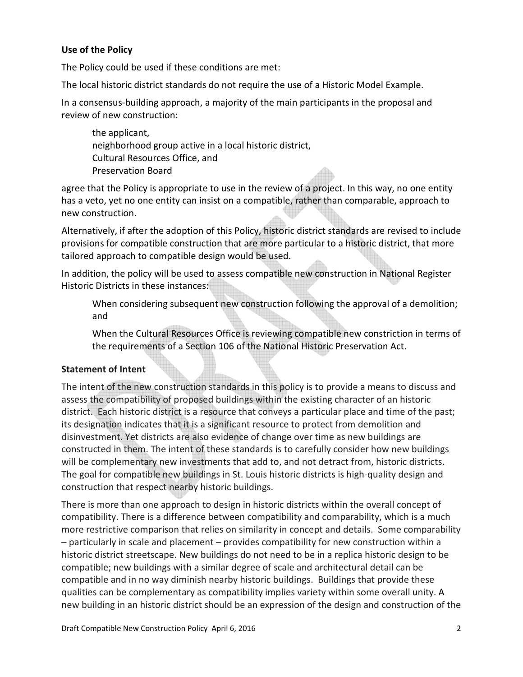## **Use of the Policy**

The Policy could be used if these conditions are met:

The local historic district standards do not require the use of a Historic Model Example.

In a consensus-building approach, a majority of the main participants in the proposal and review of new construction:

the applicant, neighborhood group active in a local historic district, Cultural Resources Office, and Preservation Board

agree that the Policy is appropriate to use in the review of a project. In this way, no one entity has a veto, yet no one entity can insist on a compatible, rather than comparable, approach to new construction.

Alternatively, if after the adoption of this Policy, historic district standards are revised to include provisions for compatible construction that are more particular to a historic district, that more tailored approach to compatible design would be used.

In addition, the policy will be used to assess compatible new construction in National Register Historic Districts in these instances:

 When considering subsequent new construction following the approval of a demolition; and

When the Cultural Resources Office is reviewing compatible new constriction in terms of the requirements of a Section 106 of the National Historic Preservation Act.

#### **Statement of Intent**

The intent of the new construction standards in this policy is to provide a means to discuss and assess the compatibility of proposed buildings within the existing character of an historic district. Each historic district is a resource that conveys a particular place and time of the past; its designation indicates that it is a significant resource to protect from demolition and disinvestment. Yet districts are also evidence of change over time as new buildings are constructed in them. The intent of these standards is to carefully consider how new buildings will be complementary new investments that add to, and not detract from, historic districts. The goal for compatible new buildings in St. Louis historic districts is high-quality design and construction that respect nearby historic buildings.

There is more than one approach to design in historic districts within the overall concept of compatibility. There is a difference between compatibility and comparability, which is a much more restrictive comparison that relies on similarity in concept and details. Some comparability – particularly in scale and placement – provides compatibility for new construction within a historic district streetscape. New buildings do not need to be in a replica historic design to be compatible; new buildings with a similar degree of scale and architectural detail can be compatible and in no way diminish nearby historic buildings. Buildings that provide these qualities can be complementary as compatibility implies variety within some overall unity. A new building in an historic district should be an expression of the design and construction of the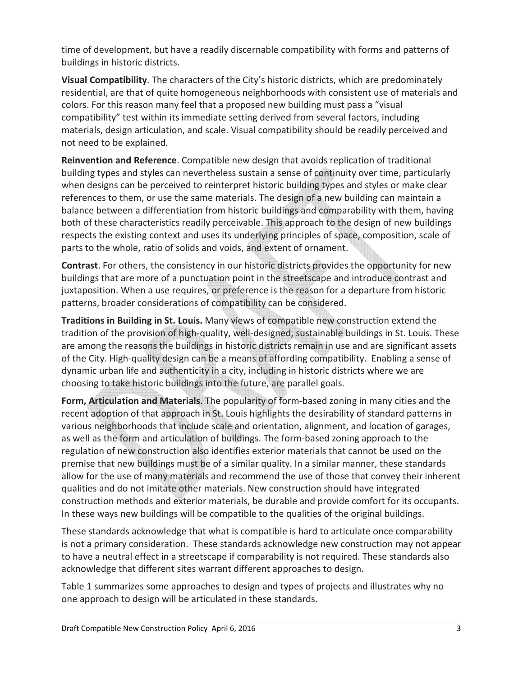time of development, but have a readily discernable compatibility with forms and patterns of buildings in historic districts.

**Visual Compatibility**. The characters of the City's historic districts, which are predominately residential, are that of quite homogeneous neighborhoods with consistent use of materials and colors. For this reason many feel that a proposed new building must pass a "visual compatibility" test within its immediate setting derived from several factors, including materials, design articulation, and scale. Visual compatibility should be readily perceived and not need to be explained.

**Reinvention and Reference**. Compatible new design that avoids replication of traditional building types and styles can nevertheless sustain a sense of continuity over time, particularly when designs can be perceived to reinterpret historic building types and styles or make clear references to them, or use the same materials. The design of a new building can maintain a balance between a differentiation from historic buildings and comparability with them, having both of these characteristics readily perceivable. This approach to the design of new buildings respects the existing context and uses its underlying principles of space, composition, scale of parts to the whole, ratio of solids and voids, and extent of ornament.

**Contrast**. For others, the consistency in our historic districts provides the opportunity for new buildings that are more of a punctuation point in the streetscape and introduce contrast and juxtaposition. When a use requires, or preference is the reason for a departure from historic patterns, broader considerations of compatibility can be considered.

**Traditions in Building in St. Louis.** Many views of compatible new construction extend the tradition of the provision of high-quality, well-designed, sustainable buildings in St. Louis. These are among the reasons the buildings in historic districts remain in use and are significant assets of the City. High-quality design can be a means of affording compatibility. Enabling a sense of dynamic urban life and authenticity in a city, including in historic districts where we are choosing to take historic buildings into the future, are parallel goals.

**Form, Articulation and Materials**. The popularity of form-based zoning in many cities and the recent adoption of that approach in St. Louis highlights the desirability of standard patterns in various neighborhoods that include scale and orientation, alignment, and location of garages, as well as the form and articulation of buildings. The form-based zoning approach to the regulation of new construction also identifies exterior materials that cannot be used on the premise that new buildings must be of a similar quality. In a similar manner, these standards allow for the use of many materials and recommend the use of those that convey their inherent qualities and do not imitate other materials. New construction should have integrated construction methods and exterior materials, be durable and provide comfort for its occupants. In these ways new buildings will be compatible to the qualities of the original buildings.

These standards acknowledge that what is compatible is hard to articulate once comparability is not a primary consideration. These standards acknowledge new construction may not appear to have a neutral effect in a streetscape if comparability is not required. These standards also acknowledge that different sites warrant different approaches to design.

Table 1 summarizes some approaches to design and types of projects and illustrates why no one approach to design will be articulated in these standards.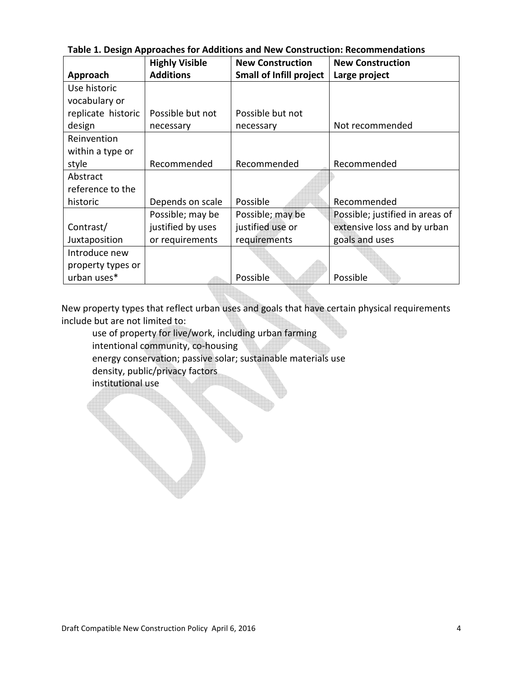|  |  |  | Table 1. Design Approaches for Additions and New Construction: Recommendations |  |
|--|--|--|--------------------------------------------------------------------------------|--|
|--|--|--|--------------------------------------------------------------------------------|--|

|                    | <b>Highly Visible</b> | <b>New Construction</b>        | <b>New Construction</b>         |
|--------------------|-----------------------|--------------------------------|---------------------------------|
| Approach           | <b>Additions</b>      | <b>Small of Infill project</b> | Large project                   |
| Use historic       |                       |                                |                                 |
| vocabulary or      |                       |                                |                                 |
| replicate historic | Possible but not      | Possible but not               |                                 |
| design             | necessary             | necessary                      | Not recommended                 |
| Reinvention        |                       |                                |                                 |
| within a type or   |                       |                                |                                 |
| style              | Recommended           | Recommended                    | Recommended                     |
| Abstract           |                       |                                |                                 |
| reference to the   |                       |                                |                                 |
| historic           | Depends on scale      | Possible                       | Recommended                     |
|                    | Possible; may be      | Possible; may be               | Possible; justified in areas of |
| Contrast/          | justified by uses     | justified use or               | extensive loss and by urban     |
| Juxtaposition      | or requirements       | requirements                   | goals and uses                  |
| Introduce new      |                       |                                |                                 |
| property types or  |                       |                                |                                 |
| urban uses*        |                       | Possible                       | Possible                        |

New property types that reflect urban uses and goals that have certain physical requirements include but are not limited to:

use of property for live/work, including urban farming intentional community, co-housing energy conservation; passive solar; sustainable materials use density, public/privacy factors institutional use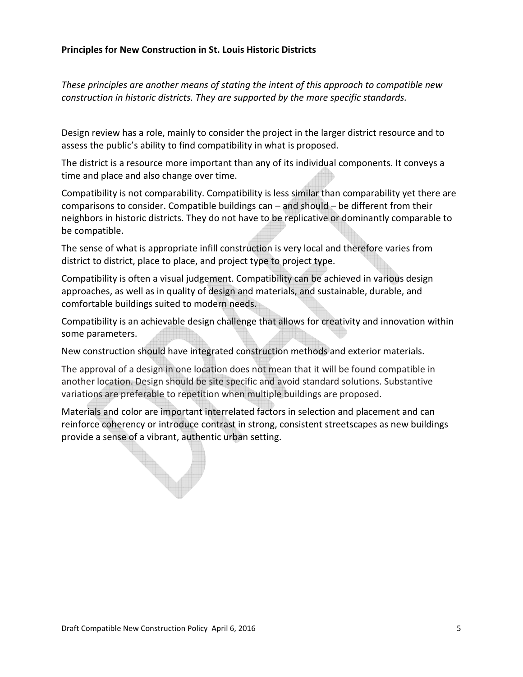#### **Principles for New Construction in St. Louis Historic Districts**

*These principles are another means of stating the intent of this approach to compatible new construction in historic districts. They are supported by the more specific standards.* 

Design review has a role, mainly to consider the project in the larger district resource and to assess the public's ability to find compatibility in what is proposed.

The district is a resource more important than any of its individual components. It conveys a time and place and also change over time.

Compatibility is not comparability. Compatibility is less similar than comparability yet there are comparisons to consider. Compatible buildings can – and should – be different from their neighbors in historic districts. They do not have to be replicative or dominantly comparable to be compatible.

The sense of what is appropriate infill construction is very local and therefore varies from district to district, place to place, and project type to project type.

Compatibility is often a visual judgement. Compatibility can be achieved in various design approaches, as well as in quality of design and materials, and sustainable, durable, and comfortable buildings suited to modern needs.

Compatibility is an achievable design challenge that allows for creativity and innovation within some parameters.

New construction should have integrated construction methods and exterior materials.

The approval of a design in one location does not mean that it will be found compatible in another location. Design should be site specific and avoid standard solutions. Substantive variations are preferable to repetition when multiple buildings are proposed.

Materials and color are important interrelated factors in selection and placement and can reinforce coherency or introduce contrast in strong, consistent streetscapes as new buildings provide a sense of a vibrant, authentic urban setting.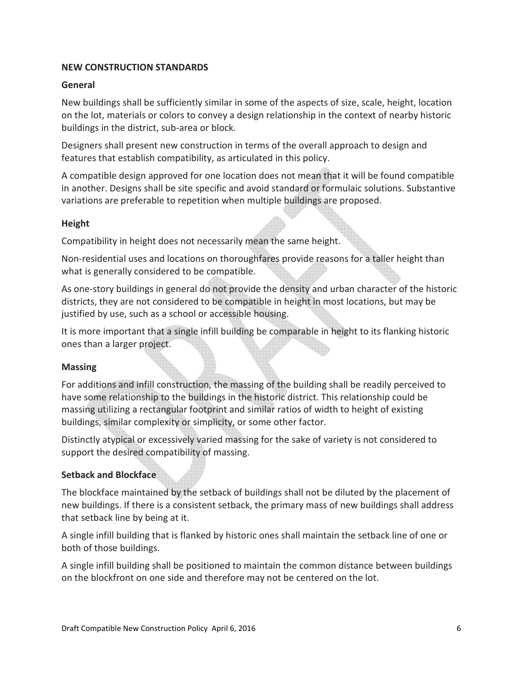### **NEW CONSTRUCTION STANDARDS**

#### **General**

New buildings shall be sufficiently similar in some of the aspects of size, scale, height, location on the lot, materials or colors to convey a design relationship in the context of nearby historic buildings in the district, sub-area or block.

Designers shall present new construction in terms of the overall approach to design and features that establish compatibility, as articulated in this policy.

A compatible design approved for one location does not mean that it will be found compatible in another. Designs shall be site specific and avoid standard or formulaic solutions. Substantive variations are preferable to repetition when multiple buildings are proposed.

### **Height**

Compatibility in height does not necessarily mean the same height.

Non-residential uses and locations on thoroughfares provide reasons for a taller height than what is generally considered to be compatible.

As one-story buildings in general do not provide the density and urban character of the historic districts, they are not considered to be compatible in height in most locations, but may be justified by use, such as a school or accessible housing.

It is more important that a single infill building be comparable in height to its flanking historic ones than a larger project.

## **Massing**

For additions and infill construction, the massing of the building shall be readily perceived to have some relationship to the buildings in the historic district. This relationship could be massing utilizing a rectangular footprint and similar ratios of width to height of existing buildings, similar complexity or simplicity, or some other factor.

Distinctly atypical or excessively varied massing for the sake of variety is not considered to support the desired compatibility of massing.

## **Setback and Blockface**

The blockface maintained by the setback of buildings shall not be diluted by the placement of new buildings. If there is a consistent setback, the primary mass of new buildings shall address that setback line by being at it.

A single infill building that is flanked by historic ones shall maintain the setback line of one or both of those buildings.

A single infill building shall be positioned to maintain the common distance between buildings on the blockfront on one side and therefore may not be centered on the lot.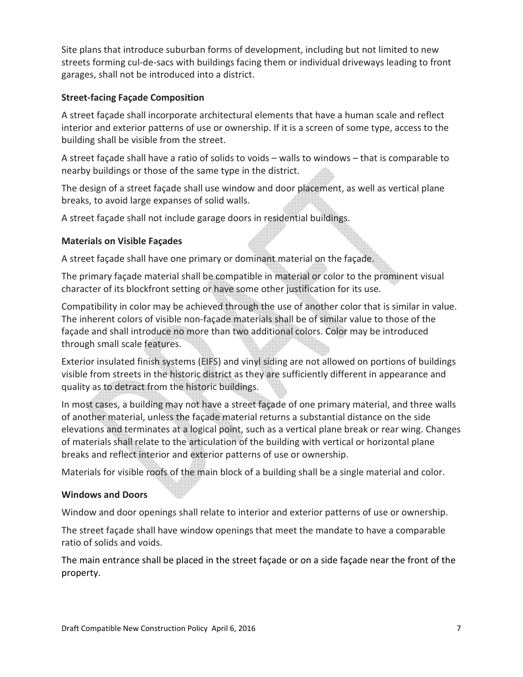Site plans that introduce suburban forms of development, including but not limited to new streets forming cul-de-sacs with buildings facing them or individual driveways leading to front garages, shall not be introduced into a district.

## **Street-facing Façade Composition**

A street façade shall incorporate architectural elements that have a human scale and reflect interior and exterior patterns of use or ownership. If it is a screen of some type, access to the building shall be visible from the street.

A street façade shall have a ratio of solids to voids – walls to windows – that is comparable to nearby buildings or those of the same type in the district.

The design of a street façade shall use window and door placement, as well as vertical plane breaks, to avoid large expanses of solid walls.

A street façade shall not include garage doors in residential buildings.

## **Materials on Visible Façades**

A street façade shall have one primary or dominant material on the façade.

The primary façade material shall be compatible in material or color to the prominent visual character of its blockfront setting or have some other justification for its use.

Compatibility in color may be achieved through the use of another color that is similar in value. The inherent colors of visible non-façade materials shall be of similar value to those of the façade and shall introduce no more than two additional colors. Color may be introduced through small scale features.

Exterior insulated finish systems (EIFS) and vinyl siding are not allowed on portions of buildings visible from streets in the historic district as they are sufficiently different in appearance and quality as to detract from the historic buildings.

In most cases, a building may not have a street façade of one primary material, and three walls of another material, unless the façade material returns a substantial distance on the side elevations and terminates at a logical point, such as a vertical plane break or rear wing. Changes of materials shall relate to the articulation of the building with vertical or horizontal plane breaks and reflect interior and exterior patterns of use or ownership.

Materials for visible roofs of the main block of a building shall be a single material and color.

## **Windows and Doors**

Window and door openings shall relate to interior and exterior patterns of use or ownership.

The street façade shall have window openings that meet the mandate to have a comparable ratio of solids and voids.

The main entrance shall be placed in the street façade or on a side façade near the front of the property.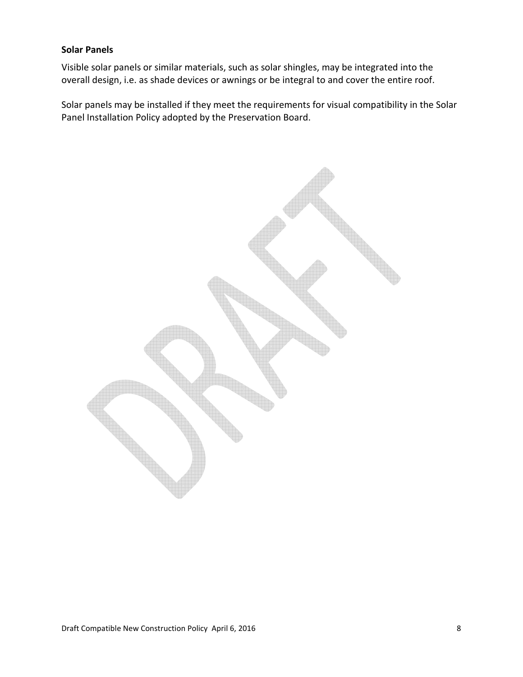#### **Solar Panels**

Visible solar panels or similar materials, such as solar shingles, may be integrated into the overall design, i.e. as shade devices or awnings or be integral to and cover the entire roof.

Solar panels may be installed if they meet the requirements for visual compatibility in the Solar Panel Installation Policy adopted by the Preservation Board.

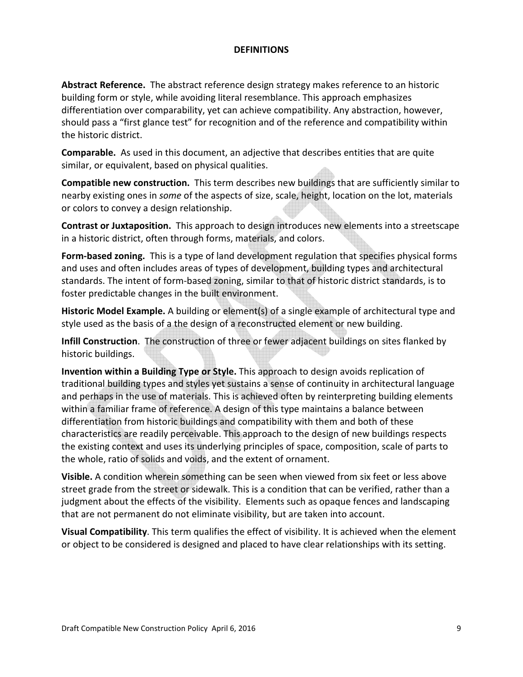#### **DEFINITIONS**

**Abstract Reference.** The abstract reference design strategy makes reference to an historic building form or style, while avoiding literal resemblance. This approach emphasizes differentiation over comparability, yet can achieve compatibility. Any abstraction, however, should pass a "first glance test" for recognition and of the reference and compatibility within the historic district.

**Comparable.** As used in this document, an adjective that describes entities that are quite similar, or equivalent, based on physical qualities.

**Compatible new construction.** This term describes new buildings that are sufficiently similar to nearby existing ones in *some* of the aspects of size, scale, height, location on the lot, materials or colors to convey a design relationship.

**Contrast or Juxtaposition.** This approach to design introduces new elements into a streetscape in a historic district, often through forms, materials, and colors.

**Form-based zoning.** This is a type of land development regulation that specifies physical forms and uses and often includes areas of types of development, building types and architectural standards. The intent of form-based zoning, similar to that of historic district standards, is to foster predictable changes in the built environment.

**Historic Model Example.** A building or element(s) of a single example of architectural type and style used as the basis of a the design of a reconstructed element or new building.

**Infill Construction**. The construction of three or fewer adjacent buildings on sites flanked by historic buildings.

**Invention within a Building Type or Style.** This approach to design avoids replication of traditional building types and styles yet sustains a sense of continuity in architectural language and perhaps in the use of materials. This is achieved often by reinterpreting building elements within a familiar frame of reference. A design of this type maintains a balance between differentiation from historic buildings and compatibility with them and both of these characteristics are readily perceivable. This approach to the design of new buildings respects the existing context and uses its underlying principles of space, composition, scale of parts to the whole, ratio of solids and voids, and the extent of ornament.

**Visible.** A condition wherein something can be seen when viewed from six feet or less above street grade from the street or sidewalk. This is a condition that can be verified, rather than a judgment about the effects of the visibility. Elements such as opaque fences and landscaping that are not permanent do not eliminate visibility, but are taken into account.

**Visual Compatibility**. This term qualifies the effect of visibility. It is achieved when the element or object to be considered is designed and placed to have clear relationships with its setting.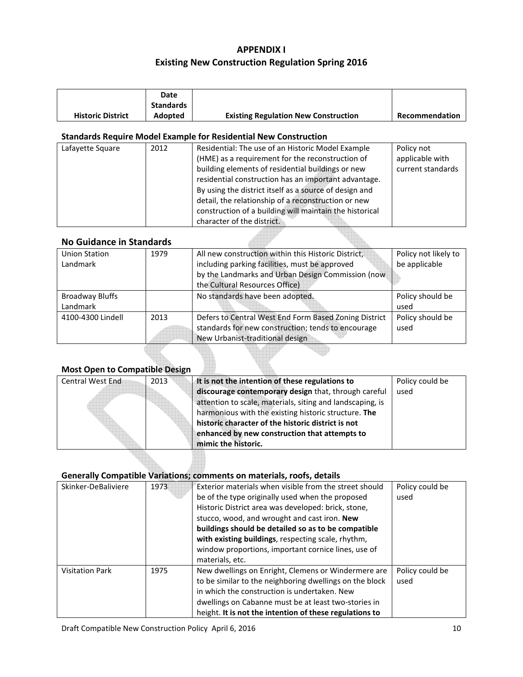### **APPENDIX I Existing New Construction Regulation Spring 2016**

| <b>Standards</b> |                          | Date           |                                             |                |
|------------------|--------------------------|----------------|---------------------------------------------|----------------|
|                  |                          |                |                                             |                |
|                  | <b>Historic District</b> | <b>Adopted</b> | <b>Existing Regulation New Construction</b> | Recommendation |

# **Standards Require Model Example for Residential New Construction**

| Lafayette Square | 2012 | Residential: The use of an Historic Model Example       | Policy not        |
|------------------|------|---------------------------------------------------------|-------------------|
|                  |      | (HME) as a requirement for the reconstruction of        | applicable with   |
|                  |      | building elements of residential buildings or new       | current standards |
|                  |      | residential construction has an important advantage.    |                   |
|                  |      | By using the district itself as a source of design and  |                   |
|                  |      | detail, the relationship of a reconstruction or new     |                   |
|                  |      | construction of a building will maintain the historical |                   |
|                  |      | character of the district.                              |                   |

#### **No Guidance in Standards**

| Union Station          | 1979 | All new construction within this Historic District,   | Policy not likely to |
|------------------------|------|-------------------------------------------------------|----------------------|
| Landmark               |      | including parking facilities, must be approved        | be applicable        |
|                        |      | by the Landmarks and Urban Design Commission (now     |                      |
|                        |      | the Cultural Resources Office)                        |                      |
| <b>Broadway Bluffs</b> |      | No standards have been adopted.                       | Policy should be     |
| Landmark               |      |                                                       | used                 |
| 4100-4300 Lindell      | 2013 | Defers to Central West End Form Based Zoning District | Policy should be     |
|                        |      | standards for new construction; tends to encourage    | used                 |
|                        |      | New Urbanist-traditional design                       |                      |

## **Most Open to Compatible Design**

| Central West End | 2013 | It is not the intention of these regulations to           | Policy could be |
|------------------|------|-----------------------------------------------------------|-----------------|
|                  |      | discourage contemporary design that, through careful      | used            |
|                  |      | attention to scale, materials, siting and landscaping, is |                 |
|                  |      | harmonious with the existing historic structure. The      |                 |
|                  |      | historic character of the historic district is not        |                 |
|                  |      | enhanced by new construction that attempts to             |                 |
|                  |      | mimic the historic.                                       |                 |

#### **Generally Compatible Variations; comments on materials, roofs, details**

| Skinker-DeBaliviere    | 1973 | Exterior materials when visible from the street should<br>be of the type originally used when the proposed<br>Historic District area was developed: brick, stone,<br>stucco, wood, and wrought and cast iron. New<br>buildings should be detailed so as to be compatible<br>with existing buildings, respecting scale, rhythm,<br>window proportions, important cornice lines, use of<br>materials, etc. | Policy could be<br>used |
|------------------------|------|----------------------------------------------------------------------------------------------------------------------------------------------------------------------------------------------------------------------------------------------------------------------------------------------------------------------------------------------------------------------------------------------------------|-------------------------|
| <b>Visitation Park</b> | 1975 | New dwellings on Enright, Clemens or Windermere are<br>to be similar to the neighboring dwellings on the block<br>in which the construction is undertaken. New<br>dwellings on Cabanne must be at least two-stories in<br>height. It is not the intention of these regulations to                                                                                                                        | Policy could be<br>used |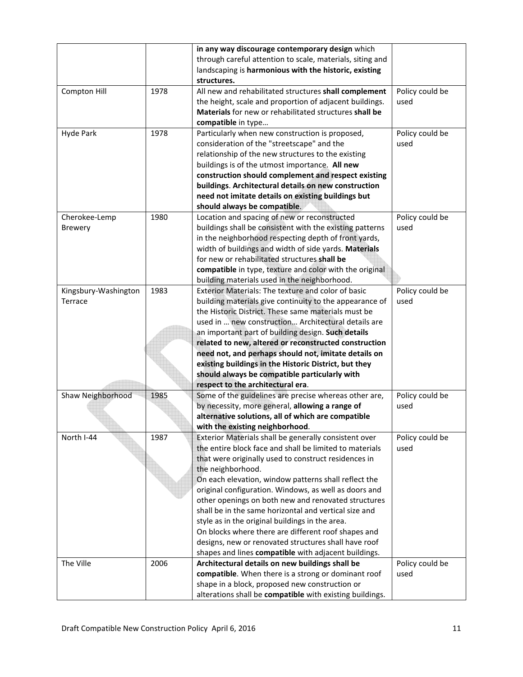|                      |      | in any way discourage contemporary design which<br>through careful attention to scale, materials, siting and<br>landscaping is harmonious with the historic, existing |                 |
|----------------------|------|-----------------------------------------------------------------------------------------------------------------------------------------------------------------------|-----------------|
|                      |      | structures.                                                                                                                                                           |                 |
| Compton Hill         | 1978 | All new and rehabilitated structures shall complement                                                                                                                 | Policy could be |
|                      |      | the height, scale and proportion of adjacent buildings.                                                                                                               | used            |
|                      |      | Materials for new or rehabilitated structures shall be                                                                                                                |                 |
|                      |      | compatible in type                                                                                                                                                    |                 |
| <b>Hyde Park</b>     | 1978 | Particularly when new construction is proposed,                                                                                                                       | Policy could be |
|                      |      | consideration of the "streetscape" and the                                                                                                                            | used            |
|                      |      | relationship of the new structures to the existing                                                                                                                    |                 |
|                      |      | buildings is of the utmost importance. All new                                                                                                                        |                 |
|                      |      | construction should complement and respect existing                                                                                                                   |                 |
|                      |      | buildings. Architectural details on new construction                                                                                                                  |                 |
|                      |      | need not imitate details on existing buildings but                                                                                                                    |                 |
| Cherokee-Lemp        |      | should always be compatible.                                                                                                                                          | Policy could be |
| <b>Brewery</b>       | 1980 | Location and spacing of new or reconstructed<br>buildings shall be consistent with the existing patterns                                                              | used            |
|                      |      | in the neighborhood respecting depth of front yards,                                                                                                                  |                 |
|                      |      | width of buildings and width of side yards. Materials                                                                                                                 |                 |
|                      |      | for new or rehabilitated structures shall be                                                                                                                          |                 |
|                      |      | compatible in type, texture and color with the original                                                                                                               |                 |
|                      |      | building materials used in the neighborhood.                                                                                                                          |                 |
| Kingsbury-Washington | 1983 | Exterior Materials: The texture and color of basic                                                                                                                    | Policy could be |
| Terrace              |      | building materials give continuity to the appearance of                                                                                                               | used            |
|                      |      | the Historic District. These same materials must be                                                                                                                   |                 |
|                      |      | used in  new construction Architectural details are                                                                                                                   |                 |
|                      |      | an important part of building design. Such details                                                                                                                    |                 |
|                      |      | related to new, altered or reconstructed construction                                                                                                                 |                 |
|                      |      | need not, and perhaps should not, imitate details on                                                                                                                  |                 |
|                      |      | existing buildings in the Historic District, but they                                                                                                                 |                 |
|                      |      | should always be compatible particularly with<br>respect to the architectural era.                                                                                    |                 |
| Shaw Neighborhood    | 1985 | Some of the guidelines are precise whereas other are,                                                                                                                 | Policy could be |
|                      |      | by necessity, more general, allowing a range of                                                                                                                       | used            |
|                      |      | alternative solutions, all of which are compatible                                                                                                                    |                 |
|                      |      | with the existing neighborhood.                                                                                                                                       |                 |
| North I-44           | 1987 | Exterior Materials shall be generally consistent over                                                                                                                 | Policy could be |
|                      |      | the entire block face and shall be limited to materials                                                                                                               | used            |
|                      |      | that were originally used to construct residences in                                                                                                                  |                 |
|                      |      | the neighborhood.                                                                                                                                                     |                 |
|                      |      | On each elevation, window patterns shall reflect the                                                                                                                  |                 |
|                      |      | original configuration. Windows, as well as doors and                                                                                                                 |                 |
|                      |      | other openings on both new and renovated structures                                                                                                                   |                 |
|                      |      | shall be in the same horizontal and vertical size and                                                                                                                 |                 |
|                      |      | style as in the original buildings in the area.<br>On blocks where there are different roof shapes and                                                                |                 |
|                      |      | designs, new or renovated structures shall have roof                                                                                                                  |                 |
|                      |      | shapes and lines compatible with adjacent buildings.                                                                                                                  |                 |
| The Ville            | 2006 | Architectural details on new buildings shall be                                                                                                                       | Policy could be |
|                      |      | compatible. When there is a strong or dominant roof                                                                                                                   | used            |
|                      |      | shape in a block, proposed new construction or                                                                                                                        |                 |
|                      |      | alterations shall be compatible with existing buildings.                                                                                                              |                 |